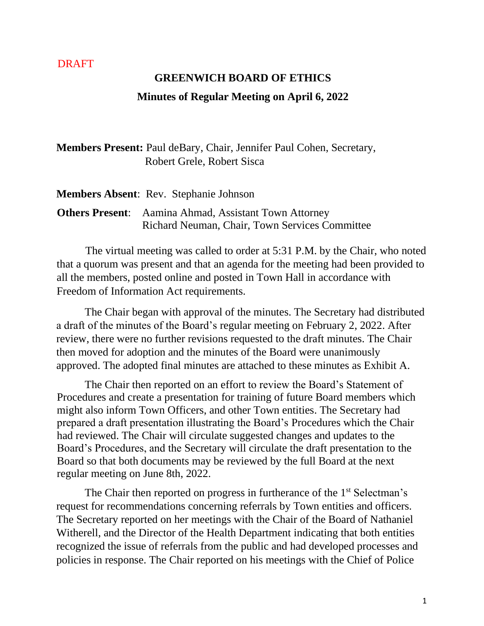### DRAFT

# **GREENWICH BOARD OF ETHICS Minutes of Regular Meeting on April 6, 2022**

**Members Present:** Paul deBary, Chair, Jennifer Paul Cohen, Secretary, Robert Grele, Robert Sisca

| <b>Members Absent: Rev. Stephanie Johnson</b>                |
|--------------------------------------------------------------|
| <b>Others Present:</b> Aamina Ahmad, Assistant Town Attorney |
| Richard Neuman, Chair, Town Services Committee               |

 The virtual meeting was called to order at 5:31 P.M. by the Chair, who noted that a quorum was present and that an agenda for the meeting had been provided to all the members, posted online and posted in Town Hall in accordance with Freedom of Information Act requirements.

The Chair began with approval of the minutes. The Secretary had distributed a draft of the minutes of the Board's regular meeting on February 2, 2022. After review, there were no further revisions requested to the draft minutes. The Chair then moved for adoption and the minutes of the Board were unanimously approved. The adopted final minutes are attached to these minutes as Exhibit A.

The Chair then reported on an effort to review the Board's Statement of Procedures and create a presentation for training of future Board members which might also inform Town Officers, and other Town entities. The Secretary had prepared a draft presentation illustrating the Board's Procedures which the Chair had reviewed. The Chair will circulate suggested changes and updates to the Board's Procedures, and the Secretary will circulate the draft presentation to the Board so that both documents may be reviewed by the full Board at the next regular meeting on June 8th, 2022.

The Chair then reported on progress in furtherance of the 1<sup>st</sup> Selectman's request for recommendations concerning referrals by Town entities and officers. The Secretary reported on her meetings with the Chair of the Board of Nathaniel Witherell, and the Director of the Health Department indicating that both entities recognized the issue of referrals from the public and had developed processes and policies in response. The Chair reported on his meetings with the Chief of Police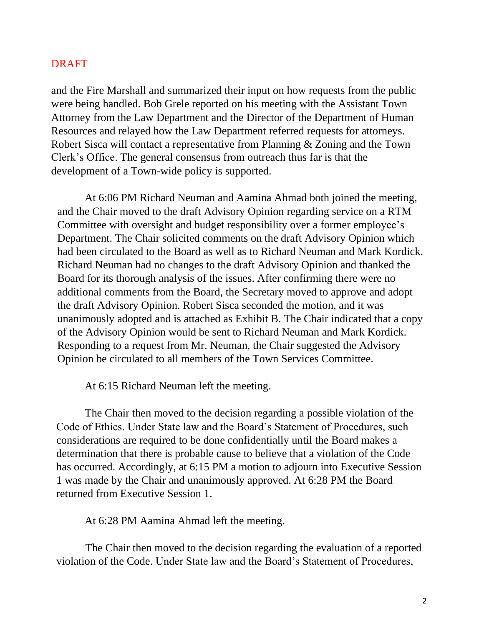### DRAFT

and the Fire Marshall and summarized their input on how requests from the public were being handled. Bob Grele reported on his meeting with the Assistant Town Attorney from the Law Department and the Director of the Department of Human Resources and relayed how the Law Department referred requests for attorneys. Robert Sisca will contact a representative from Planning & Zoning and the Town Clerk's Office. The general consensus from outreach thus far is that the development of a Town-wide policy is supported.

At 6:06 PM Richard Neuman and Aamina Ahmad both joined the meeting, and the Chair moved to the draft Advisory Opinion regarding service on a RTM Committee with oversight and budget responsibility over a former employee's Department. The Chair solicited comments on the draft Advisory Opinion which had been circulated to the Board as well as to Richard Neuman and Mark Kordick. Richard Neuman had no changes to the draft Advisory Opinion and thanked the Board for its thorough analysis of the issues. After confirming there were no additional comments from the Board, the Secretary moved to approve and adopt the draft Advisory Opinion. Robert Sisca seconded the motion, and it was unanimously adopted and is attached as Exhibit B. The Chair indicated that a copy of the Advisory Opinion would be sent to Richard Neuman and Mark Kordick. Responding to a request from Mr. Neuman, the Chair suggested the Advisory Opinion be circulated to all members of the Town Services Committee.

At 6:15 Richard Neuman left the meeting.

The Chair then moved to the decision regarding a possible violation of the Code of Ethics. Under State law and the Board's Statement of Procedures, such considerations are required to be done confidentially until the Board makes a determination that there is probable cause to believe that a violation of the Code has occurred. Accordingly, at 6:15 PM a motion to adjourn into Executive Session 1 was made by the Chair and unanimously approved. At 6:28 PM the Board returned from Executive Session 1.

At 6:28 PM Aamina Ahmad left the meeting.

The Chair then moved to the decision regarding the evaluation of a reported violation of the Code. Under State law and the Board's Statement of Procedures,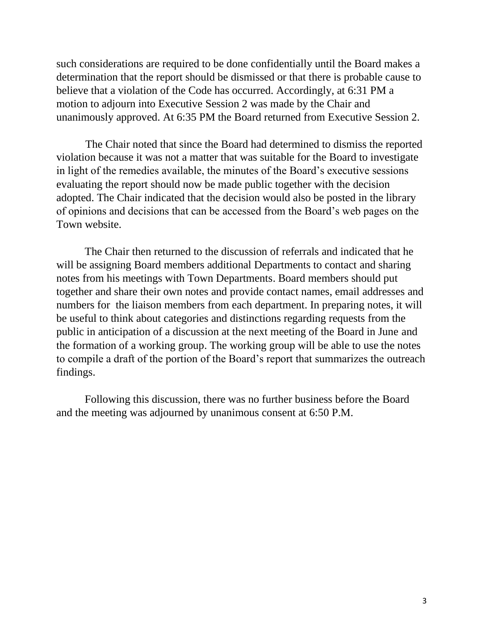such considerations are required to be done confidentially until the Board makes a determination that the report should be dismissed or that there is probable cause to believe that a violation of the Code has occurred. Accordingly, at 6:31 PM a motion to adjourn into Executive Session 2 was made by the Chair and unanimously approved. At 6:35 PM the Board returned from Executive Session 2.

The Chair noted that since the Board had determined to dismiss the reported violation because it was not a matter that was suitable for the Board to investigate in light of the remedies available, the minutes of the Board's executive sessions evaluating the report should now be made public together with the decision adopted. The Chair indicated that the decision would also be posted in the library of opinions and decisions that can be accessed from the Board's web pages on the Town website.

The Chair then returned to the discussion of referrals and indicated that he will be assigning Board members additional Departments to contact and sharing notes from his meetings with Town Departments. Board members should put together and share their own notes and provide contact names, email addresses and numbers for the liaison members from each department. In preparing notes, it will be useful to think about categories and distinctions regarding requests from the public in anticipation of a discussion at the next meeting of the Board in June and the formation of a working group. The working group will be able to use the notes to compile a draft of the portion of the Board's report that summarizes the outreach findings.

Following this discussion, there was no further business before the Board and the meeting was adjourned by unanimous consent at 6:50 P.M.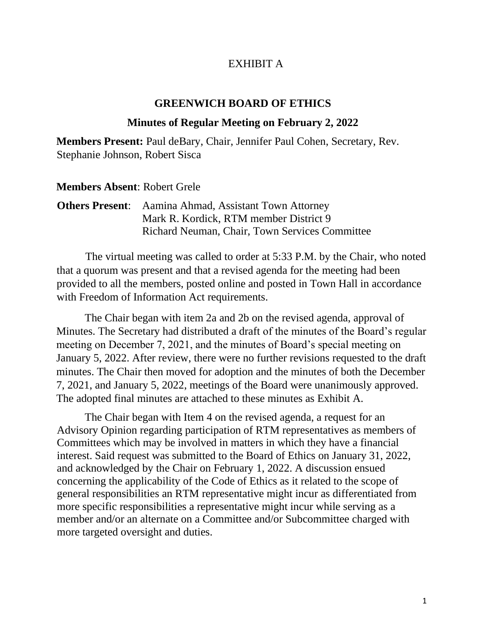## EXHIBIT A

## **GREENWICH BOARD OF ETHICS**

## **Minutes of Regular Meeting on February 2, 2022**

**Members Present:** Paul deBary, Chair, Jennifer Paul Cohen, Secretary, Rev. Stephanie Johnson, Robert Sisca

### **Members Absent**: Robert Grele

| <b>Others Present:</b> Aamina Ahmad, Assistant Town Attorney |
|--------------------------------------------------------------|
| Mark R. Kordick, RTM member District 9                       |
| Richard Neuman, Chair, Town Services Committee               |

 The virtual meeting was called to order at 5:33 P.M. by the Chair, who noted that a quorum was present and that a revised agenda for the meeting had been provided to all the members, posted online and posted in Town Hall in accordance with Freedom of Information Act requirements.

The Chair began with item 2a and 2b on the revised agenda, approval of Minutes. The Secretary had distributed a draft of the minutes of the Board's regular meeting on December 7, 2021, and the minutes of Board's special meeting on January 5, 2022. After review, there were no further revisions requested to the draft minutes. The Chair then moved for adoption and the minutes of both the December 7, 2021, and January 5, 2022, meetings of the Board were unanimously approved. The adopted final minutes are attached to these minutes as Exhibit A.

The Chair began with Item 4 on the revised agenda, a request for an Advisory Opinion regarding participation of RTM representatives as members of Committees which may be involved in matters in which they have a financial interest. Said request was submitted to the Board of Ethics on January 31, 2022, and acknowledged by the Chair on February 1, 2022. A discussion ensued concerning the applicability of the Code of Ethics as it related to the scope of general responsibilities an RTM representative might incur as differentiated from more specific responsibilities a representative might incur while serving as a member and/or an alternate on a Committee and/or Subcommittee charged with more targeted oversight and duties.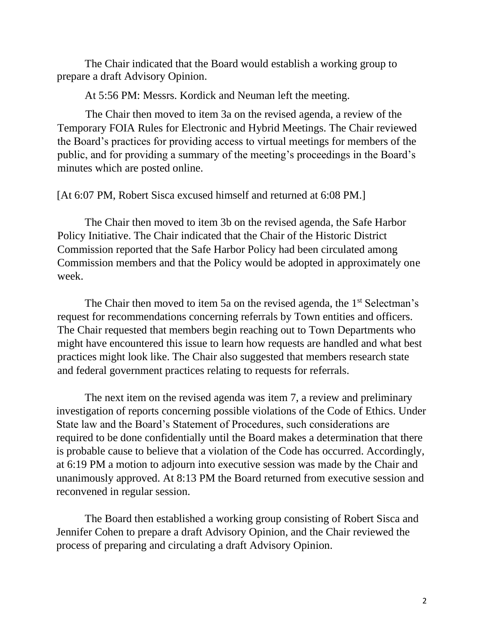The Chair indicated that the Board would establish a working group to prepare a draft Advisory Opinion.

At 5:56 PM: Messrs. Kordick and Neuman left the meeting.

The Chair then moved to item 3a on the revised agenda, a review of the Temporary FOIA Rules for Electronic and Hybrid Meetings. The Chair reviewed the Board's practices for providing access to virtual meetings for members of the public, and for providing a summary of the meeting's proceedings in the Board's minutes which are posted online.

[At 6:07 PM, Robert Sisca excused himself and returned at 6:08 PM.]

The Chair then moved to item 3b on the revised agenda, the Safe Harbor Policy Initiative. The Chair indicated that the Chair of the Historic District Commission reported that the Safe Harbor Policy had been circulated among Commission members and that the Policy would be adopted in approximately one week.

The Chair then moved to item 5a on the revised agenda, the 1<sup>st</sup> Selectman's request for recommendations concerning referrals by Town entities and officers. The Chair requested that members begin reaching out to Town Departments who might have encountered this issue to learn how requests are handled and what best practices might look like. The Chair also suggested that members research state and federal government practices relating to requests for referrals.

The next item on the revised agenda was item 7, a review and preliminary investigation of reports concerning possible violations of the Code of Ethics. Under State law and the Board's Statement of Procedures, such considerations are required to be done confidentially until the Board makes a determination that there is probable cause to believe that a violation of the Code has occurred. Accordingly, at 6:19 PM a motion to adjourn into executive session was made by the Chair and unanimously approved. At 8:13 PM the Board returned from executive session and reconvened in regular session.

The Board then established a working group consisting of Robert Sisca and Jennifer Cohen to prepare a draft Advisory Opinion, and the Chair reviewed the process of preparing and circulating a draft Advisory Opinion.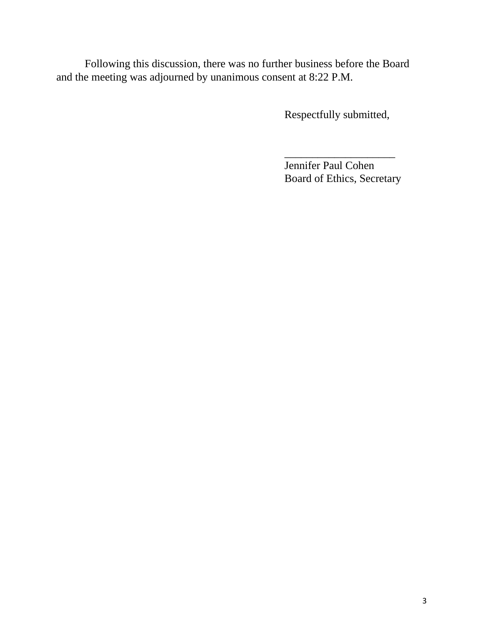Following this discussion, there was no further business before the Board and the meeting was adjourned by unanimous consent at 8:22 P.M.

Respectfully submitted,

Jennifer Paul Cohen Board of Ethics, Secretary

\_\_\_\_\_\_\_\_\_\_\_\_\_\_\_\_\_\_\_\_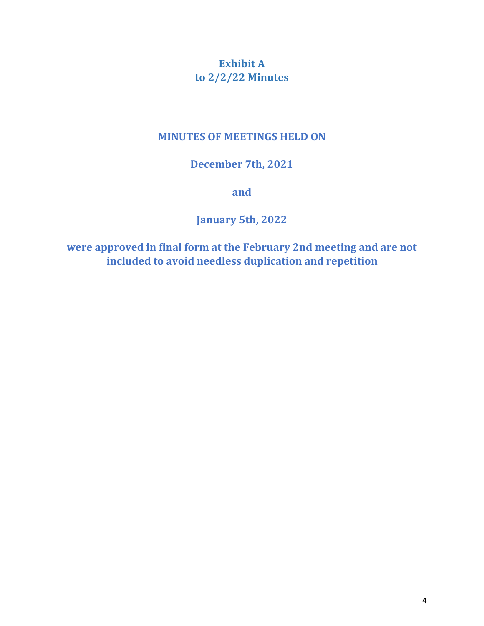# **Exhibit A to 2/2/22 Minutes**

## **MINUTES OF MEETINGS HELD ON**

## **December 7th, 2021**

**and** 

**January 5th, 2022**

**were approved in final form at the February 2nd meeting and are not included to avoid needless duplication and repetition**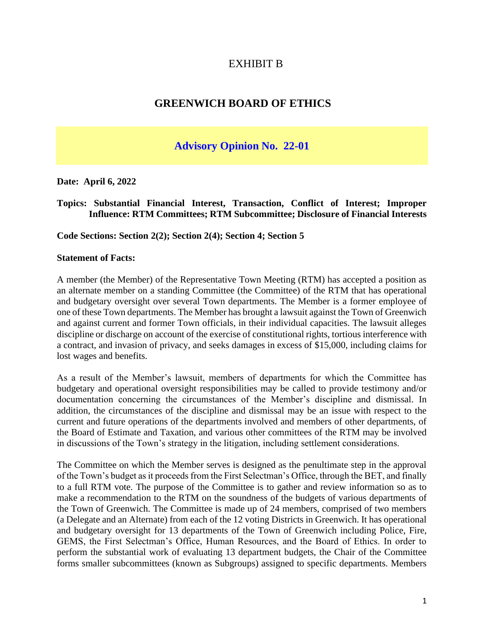## EXHIBIT B

## **GREENWICH BOARD OF ETHICS**

## **Advisory Opinion No. 22-01**

**Date: April 6, 2022**

#### **Topics: Substantial Financial Interest, Transaction, Conflict of Interest; Improper Influence: RTM Committees; RTM Subcommittee; Disclosure of Financial Interests**

**Code Sections: Section 2(2); Section 2(4); Section 4; Section 5**

#### **Statement of Facts:**

A member (the Member) of the Representative Town Meeting (RTM) has accepted a position as an alternate member on a standing Committee (the Committee) of the RTM that has operational and budgetary oversight over several Town departments. The Member is a former employee of one of these Town departments. The Member has brought a lawsuit against the Town of Greenwich and against current and former Town officials, in their individual capacities. The lawsuit alleges discipline or discharge on account of the exercise of constitutional rights, tortious interference with a contract, and invasion of privacy, and seeks damages in excess of \$15,000, including claims for lost wages and benefits.

As a result of the Member's lawsuit, members of departments for which the Committee has budgetary and operational oversight responsibilities may be called to provide testimony and/or documentation concerning the circumstances of the Member's discipline and dismissal. In addition, the circumstances of the discipline and dismissal may be an issue with respect to the current and future operations of the departments involved and members of other departments, of the Board of Estimate and Taxation, and various other committees of the RTM may be involved in discussions of the Town's strategy in the litigation, including settlement considerations.

The Committee on which the Member serves is designed as the penultimate step in the approval of the Town's budget as it proceeds from the First Selectman's Office, through the BET, and finally to a full RTM vote. The purpose of the Committee is to gather and review information so as to make a recommendation to the RTM on the soundness of the budgets of various departments of the Town of Greenwich. The Committee is made up of 24 members, comprised of two members (a Delegate and an Alternate) from each of the 12 voting Districts in Greenwich. It has operational and budgetary oversight for 13 departments of the Town of Greenwich including Police, Fire, GEMS, the First Selectman's Office, Human Resources, and the Board of Ethics. In order to perform the substantial work of evaluating 13 department budgets, the Chair of the Committee forms smaller subcommittees (known as Subgroups) assigned to specific departments. Members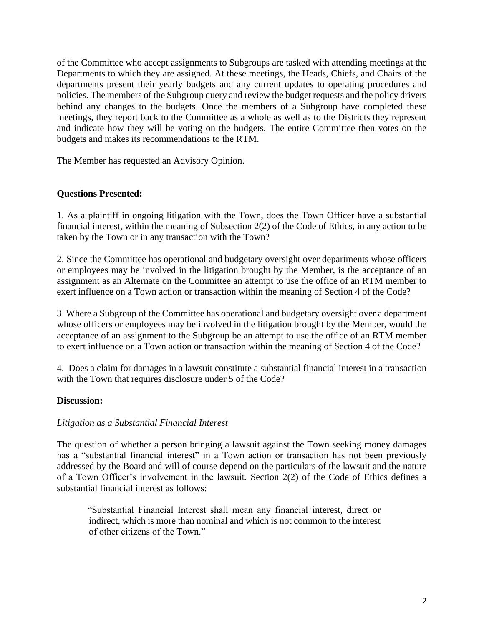of the Committee who accept assignments to Subgroups are tasked with attending meetings at the Departments to which they are assigned. At these meetings, the Heads, Chiefs, and Chairs of the departments present their yearly budgets and any current updates to operating procedures and policies. The members of the Subgroup query and review the budget requests and the policy drivers behind any changes to the budgets. Once the members of a Subgroup have completed these meetings, they report back to the Committee as a whole as well as to the Districts they represent and indicate how they will be voting on the budgets. The entire Committee then votes on the budgets and makes its recommendations to the RTM.

The Member has requested an Advisory Opinion.

#### **Questions Presented:**

1. As a plaintiff in ongoing litigation with the Town, does the Town Officer have a substantial financial interest, within the meaning of Subsection 2(2) of the Code of Ethics, in any action to be taken by the Town or in any transaction with the Town?

2. Since the Committee has operational and budgetary oversight over departments whose officers or employees may be involved in the litigation brought by the Member, is the acceptance of an assignment as an Alternate on the Committee an attempt to use the office of an RTM member to exert influence on a Town action or transaction within the meaning of Section 4 of the Code?

3. Where a Subgroup of the Committee has operational and budgetary oversight over a department whose officers or employees may be involved in the litigation brought by the Member, would the acceptance of an assignment to the Subgroup be an attempt to use the office of an RTM member to exert influence on a Town action or transaction within the meaning of Section 4 of the Code?

4. Does a claim for damages in a lawsuit constitute a substantial financial interest in a transaction with the Town that requires disclosure under 5 of the Code?

#### **Discussion:**

#### *Litigation as a Substantial Financial Interest*

The question of whether a person bringing a lawsuit against the Town seeking money damages has a "substantial financial interest" in a Town action or transaction has not been previously addressed by the Board and will of course depend on the particulars of the lawsuit and the nature of a Town Officer's involvement in the lawsuit. Section 2(2) of the Code of Ethics defines a substantial financial interest as follows:

"Substantial Financial Interest shall mean any financial interest, direct or indirect, which is more than nominal and which is not common to the interest of other citizens of the Town."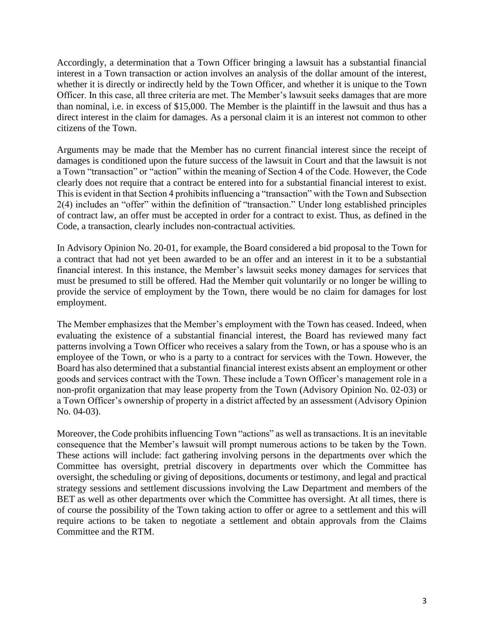Accordingly, a determination that a Town Officer bringing a lawsuit has a substantial financial interest in a Town transaction or action involves an analysis of the dollar amount of the interest, whether it is directly or indirectly held by the Town Officer, and whether it is unique to the Town Officer. In this case, all three criteria are met. The Member's lawsuit seeks damages that are more than nominal, i.e. in excess of \$15,000. The Member is the plaintiff in the lawsuit and thus has a direct interest in the claim for damages. As a personal claim it is an interest not common to other citizens of the Town.

Arguments may be made that the Member has no current financial interest since the receipt of damages is conditioned upon the future success of the lawsuit in Court and that the lawsuit is not a Town "transaction" or "action" within the meaning of Section 4 of the Code. However, the Code clearly does not require that a contract be entered into for a substantial financial interest to exist. This is evident in that Section 4 prohibits influencing a "transaction" with the Town and Subsection 2(4) includes an "offer" within the definition of "transaction." Under long established principles of contract law, an offer must be accepted in order for a contract to exist. Thus, as defined in the Code, a transaction, clearly includes non-contractual activities.

In Advisory Opinion No. 20-01, for example, the Board considered a bid proposal to the Town for a contract that had not yet been awarded to be an offer and an interest in it to be a substantial financial interest. In this instance, the Member's lawsuit seeks money damages for services that must be presumed to still be offered. Had the Member quit voluntarily or no longer be willing to provide the service of employment by the Town, there would be no claim for damages for lost employment.

The Member emphasizes that the Member's employment with the Town has ceased. Indeed, when evaluating the existence of a substantial financial interest, the Board has reviewed many fact patterns involving a Town Officer who receives a salary from the Town, or has a spouse who is an employee of the Town, or who is a party to a contract for services with the Town. However, the Board has also determined that a substantial financial interest exists absent an employment or other goods and services contract with the Town. These include a Town Officer's management role in a non-profit organization that may lease property from the Town (Advisory Opinion No. 02-03) or a Town Officer's ownership of property in a district affected by an assessment (Advisory Opinion No. 04-03).

Moreover, the Code prohibits influencing Town "actions" as well as transactions. It is an inevitable consequence that the Member's lawsuit will prompt numerous actions to be taken by the Town. These actions will include: fact gathering involving persons in the departments over which the Committee has oversight, pretrial discovery in departments over which the Committee has oversight, the scheduling or giving of depositions, documents or testimony, and legal and practical strategy sessions and settlement discussions involving the Law Department and members of the BET as well as other departments over which the Committee has oversight. At all times, there is of course the possibility of the Town taking action to offer or agree to a settlement and this will require actions to be taken to negotiate a settlement and obtain approvals from the Claims Committee and the RTM.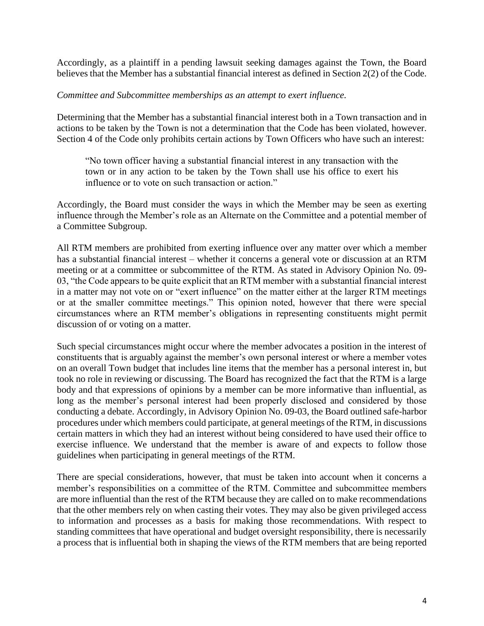Accordingly, as a plaintiff in a pending lawsuit seeking damages against the Town, the Board believes that the Member has a substantial financial interest as defined in Section 2(2) of the Code.

#### *Committee and Subcommittee memberships as an attempt to exert influence.*

Determining that the Member has a substantial financial interest both in a Town transaction and in actions to be taken by the Town is not a determination that the Code has been violated, however. Section 4 of the Code only prohibits certain actions by Town Officers who have such an interest:

"No town officer having a substantial financial interest in any transaction with the town or in any action to be taken by the Town shall use his office to exert his influence or to vote on such transaction or action."

Accordingly, the Board must consider the ways in which the Member may be seen as exerting influence through the Member's role as an Alternate on the Committee and a potential member of a Committee Subgroup.

All RTM members are prohibited from exerting influence over any matter over which a member has a substantial financial interest – whether it concerns a general vote or discussion at an RTM meeting or at a committee or subcommittee of the RTM. As stated in Advisory Opinion No. 09- 03, "the Code appears to be quite explicit that an RTM member with a substantial financial interest in a matter may not vote on or "exert influence" on the matter either at the larger RTM meetings or at the smaller committee meetings." This opinion noted, however that there were special circumstances where an RTM member's obligations in representing constituents might permit discussion of or voting on a matter.

Such special circumstances might occur where the member advocates a position in the interest of constituents that is arguably against the member's own personal interest or where a member votes on an overall Town budget that includes line items that the member has a personal interest in, but took no role in reviewing or discussing. The Board has recognized the fact that the RTM is a large body and that expressions of opinions by a member can be more informative than influential, as long as the member's personal interest had been properly disclosed and considered by those conducting a debate. Accordingly, in Advisory Opinion No. 09-03, the Board outlined safe-harbor procedures under which members could participate, at general meetings of the RTM, in discussions certain matters in which they had an interest without being considered to have used their office to exercise influence. We understand that the member is aware of and expects to follow those guidelines when participating in general meetings of the RTM.

There are special considerations, however, that must be taken into account when it concerns a member's responsibilities on a committee of the RTM. Committee and subcommittee members are more influential than the rest of the RTM because they are called on to make recommendations that the other members rely on when casting their votes. They may also be given privileged access to information and processes as a basis for making those recommendations. With respect to standing committees that have operational and budget oversight responsibility, there is necessarily a process that is influential both in shaping the views of the RTM members that are being reported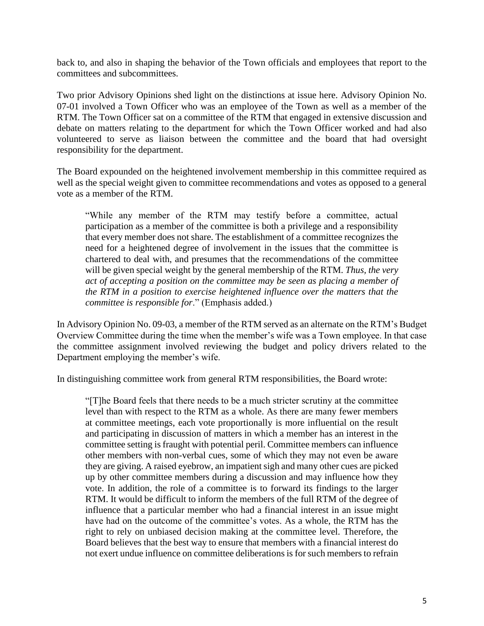back to, and also in shaping the behavior of the Town officials and employees that report to the committees and subcommittees.

Two prior Advisory Opinions shed light on the distinctions at issue here. Advisory Opinion No. 07-01 involved a Town Officer who was an employee of the Town as well as a member of the RTM. The Town Officer sat on a committee of the RTM that engaged in extensive discussion and debate on matters relating to the department for which the Town Officer worked and had also volunteered to serve as liaison between the committee and the board that had oversight responsibility for the department.

The Board expounded on the heightened involvement membership in this committee required as well as the special weight given to committee recommendations and votes as opposed to a general vote as a member of the RTM.

"While any member of the RTM may testify before a committee, actual participation as a member of the committee is both a privilege and a responsibility that every member does not share. The establishment of a committee recognizes the need for a heightened degree of involvement in the issues that the committee is chartered to deal with, and presumes that the recommendations of the committee will be given special weight by the general membership of the RTM. *Thus, the very act of accepting a position on the committee may be seen as placing a member of the RTM in a position to exercise heightened influence over the matters that the committee is responsible for*." (Emphasis added.)

In Advisory Opinion No. 09-03, a member of the RTM served as an alternate on the RTM's Budget Overview Committee during the time when the member's wife was a Town employee. In that case the committee assignment involved reviewing the budget and policy drivers related to the Department employing the member's wife.

In distinguishing committee work from general RTM responsibilities, the Board wrote:

"[T]he Board feels that there needs to be a much stricter scrutiny at the committee level than with respect to the RTM as a whole. As there are many fewer members at committee meetings, each vote proportionally is more influential on the result and participating in discussion of matters in which a member has an interest in the committee setting is fraught with potential peril. Committee members can influence other members with non-verbal cues, some of which they may not even be aware they are giving. A raised eyebrow, an impatient sigh and many other cues are picked up by other committee members during a discussion and may influence how they vote. In addition, the role of a committee is to forward its findings to the larger RTM. It would be difficult to inform the members of the full RTM of the degree of influence that a particular member who had a financial interest in an issue might have had on the outcome of the committee's votes. As a whole, the RTM has the right to rely on unbiased decision making at the committee level. Therefore, the Board believes that the best way to ensure that members with a financial interest do not exert undue influence on committee deliberations is for such members to refrain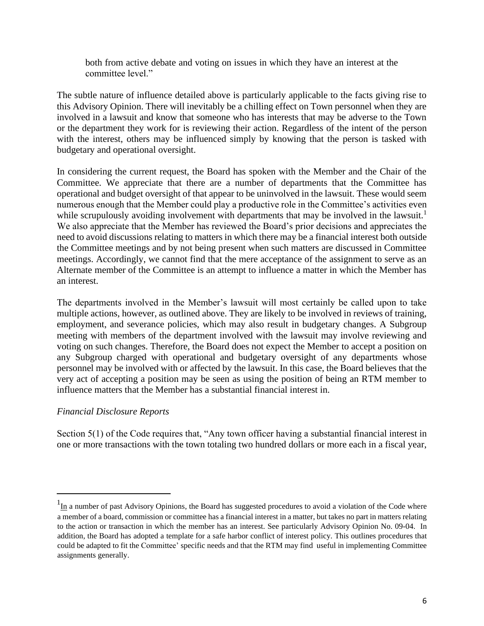both from active debate and voting on issues in which they have an interest at the committee level."

The subtle nature of influence detailed above is particularly applicable to the facts giving rise to this Advisory Opinion. There will inevitably be a chilling effect on Town personnel when they are involved in a lawsuit and know that someone who has interests that may be adverse to the Town or the department they work for is reviewing their action. Regardless of the intent of the person with the interest, others may be influenced simply by knowing that the person is tasked with budgetary and operational oversight.

In considering the current request, the Board has spoken with the Member and the Chair of the Committee. We appreciate that there are a number of departments that the Committee has operational and budget oversight of that appear to be uninvolved in the lawsuit. These would seem numerous enough that the Member could play a productive role in the Committee's activities even while scrupulously avoiding involvement with departments that may be involved in the lawsuit.<sup>1</sup> We also appreciate that the Member has reviewed the Board's prior decisions and appreciates the need to avoid discussions relating to matters in which there may be a financial interest both outside the Committee meetings and by not being present when such matters are discussed in Committee meetings. Accordingly, we cannot find that the mere acceptance of the assignment to serve as an Alternate member of the Committee is an attempt to influence a matter in which the Member has an interest.

The departments involved in the Member's lawsuit will most certainly be called upon to take multiple actions, however, as outlined above. They are likely to be involved in reviews of training, employment, and severance policies, which may also result in budgetary changes. A Subgroup meeting with members of the department involved with the lawsuit may involve reviewing and voting on such changes. Therefore, the Board does not expect the Member to accept a position on any Subgroup charged with operational and budgetary oversight of any departments whose personnel may be involved with or affected by the lawsuit. In this case, the Board believes that the very act of accepting a position may be seen as using the position of being an RTM member to influence matters that the Member has a substantial financial interest in.

### *Financial Disclosure Reports*

Section 5(1) of the Code requires that, "Any town officer having a substantial financial interest in one or more transactions with the town totaling two hundred dollars or more each in a fiscal year,

 $1_{\text{In}}$  a number of past Advisory Opinions, the Board has suggested procedures to avoid a violation of the Code where a member of a board, commission or committee has a financial interest in a matter, but takes no part in matters relating to the action or transaction in which the member has an interest. See particularly Advisory Opinion No. 09-04. In addition, the Board has adopted a template for a safe harbor conflict of interest policy. This outlines procedures that could be adapted to fit the Committee' specific needs and that the RTM may find useful in implementing Committee assignments generally.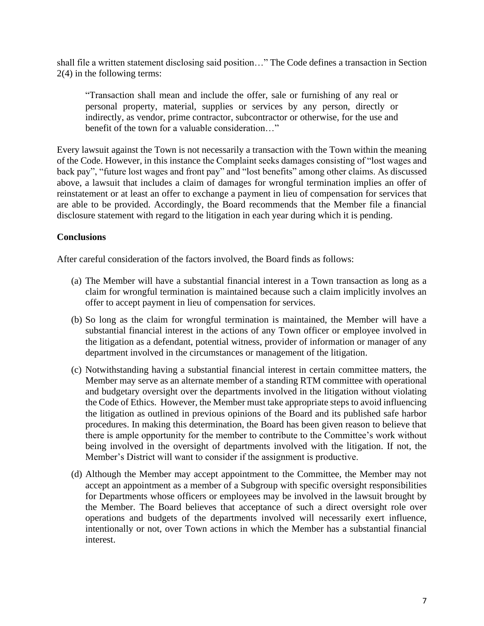shall file a written statement disclosing said position…" The Code defines a transaction in Section 2(4) in the following terms:

"Transaction shall mean and include the offer, sale or furnishing of any real or personal property, material, supplies or services by any person, directly or indirectly, as vendor, prime contractor, subcontractor or otherwise, for the use and benefit of the town for a valuable consideration…"

Every lawsuit against the Town is not necessarily a transaction with the Town within the meaning of the Code. However, in this instance the Complaint seeks damages consisting of "lost wages and back pay", "future lost wages and front pay" and "lost benefits" among other claims. As discussed above, a lawsuit that includes a claim of damages for wrongful termination implies an offer of reinstatement or at least an offer to exchange a payment in lieu of compensation for services that are able to be provided. Accordingly, the Board recommends that the Member file a financial disclosure statement with regard to the litigation in each year during which it is pending.

### **Conclusions**

After careful consideration of the factors involved, the Board finds as follows:

- (a) The Member will have a substantial financial interest in a Town transaction as long as a claim for wrongful termination is maintained because such a claim implicitly involves an offer to accept payment in lieu of compensation for services.
- (b) So long as the claim for wrongful termination is maintained, the Member will have a substantial financial interest in the actions of any Town officer or employee involved in the litigation as a defendant, potential witness, provider of information or manager of any department involved in the circumstances or management of the litigation.
- (c) Notwithstanding having a substantial financial interest in certain committee matters, the Member may serve as an alternate member of a standing RTM committee with operational and budgetary oversight over the departments involved in the litigation without violating the Code of Ethics. However, the Member must take appropriate steps to avoid influencing the litigation as outlined in previous opinions of the Board and its published safe harbor procedures. In making this determination, the Board has been given reason to believe that there is ample opportunity for the member to contribute to the Committee's work without being involved in the oversight of departments involved with the litigation. If not, the Member's District will want to consider if the assignment is productive.
- (d) Although the Member may accept appointment to the Committee, the Member may not accept an appointment as a member of a Subgroup with specific oversight responsibilities for Departments whose officers or employees may be involved in the lawsuit brought by the Member. The Board believes that acceptance of such a direct oversight role over operations and budgets of the departments involved will necessarily exert influence, intentionally or not, over Town actions in which the Member has a substantial financial interest.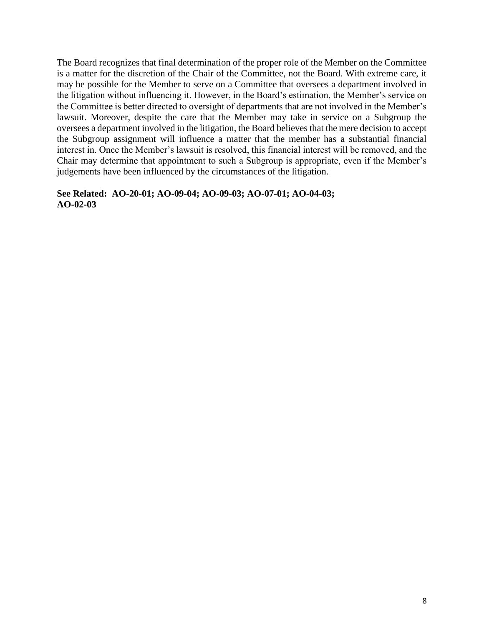The Board recognizes that final determination of the proper role of the Member on the Committee is a matter for the discretion of the Chair of the Committee, not the Board. With extreme care, it may be possible for the Member to serve on a Committee that oversees a department involved in the litigation without influencing it. However, in the Board's estimation, the Member's service on the Committee is better directed to oversight of departments that are not involved in the Member's lawsuit. Moreover, despite the care that the Member may take in service on a Subgroup the oversees a department involved in the litigation, the Board believes that the mere decision to accept the Subgroup assignment will influence a matter that the member has a substantial financial interest in. Once the Member's lawsuit is resolved, this financial interest will be removed, and the Chair may determine that appointment to such a Subgroup is appropriate, even if the Member's judgements have been influenced by the circumstances of the litigation.

#### **See Related: AO-20-01; AO-09-04; AO-09-03; AO-07-01; AO-04-03; AO-02-03**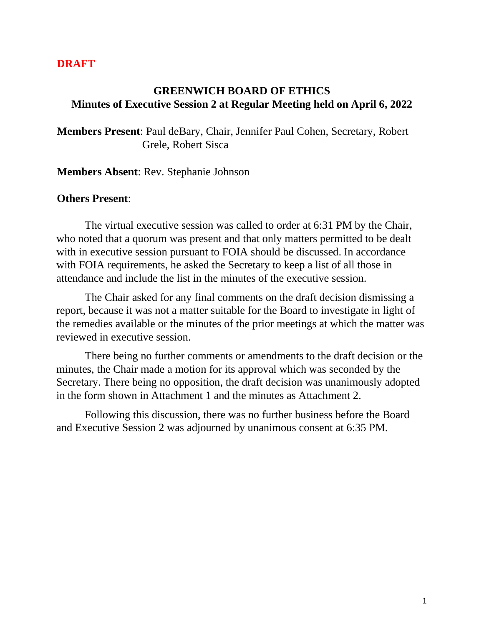## **DRAFT**

## **GREENWICH BOARD OF ETHICS Minutes of Executive Session 2 at Regular Meeting held on April 6, 2022**

**Members Present**: Paul deBary, Chair, Jennifer Paul Cohen, Secretary, Robert Grele, Robert Sisca

**Members Absent**: Rev. Stephanie Johnson

#### **Others Present**:

The virtual executive session was called to order at 6:31 PM by the Chair, who noted that a quorum was present and that only matters permitted to be dealt with in executive session pursuant to FOIA should be discussed. In accordance with FOIA requirements, he asked the Secretary to keep a list of all those in attendance and include the list in the minutes of the executive session.

The Chair asked for any final comments on the draft decision dismissing a report, because it was not a matter suitable for the Board to investigate in light of the remedies available or the minutes of the prior meetings at which the matter was reviewed in executive session.

There being no further comments or amendments to the draft decision or the minutes, the Chair made a motion for its approval which was seconded by the Secretary. There being no opposition, the draft decision was unanimously adopted in the form shown in Attachment 1 and the minutes as Attachment 2.

Following this discussion, there was no further business before the Board and Executive Session 2 was adjourned by unanimous consent at 6:35 PM.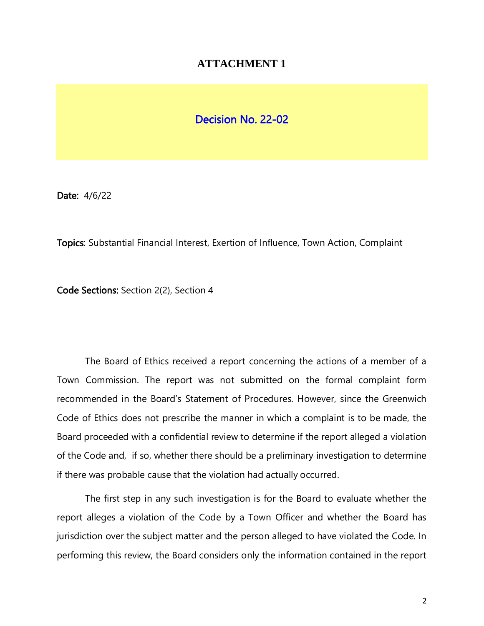## **ATTACHMENT 1**

## Decision No. 22-02

Date: 4/6/22

Topics: Substantial Financial Interest, Exertion of Influence, Town Action, Complaint

Code Sections: Section 2(2), Section 4

The Board of Ethics received a report concerning the actions of a member of a Town Commission. The report was not submitted on the formal complaint form recommended in the Board's Statement of Procedures. However, since the Greenwich Code of Ethics does not prescribe the manner in which a complaint is to be made, the Board proceeded with a confidential review to determine if the report alleged a violation of the Code and, if so, whether there should be a preliminary investigation to determine if there was probable cause that the violation had actually occurred.

The first step in any such investigation is for the Board to evaluate whether the report alleges a violation of the Code by a Town Officer and whether the Board has jurisdiction over the subject matter and the person alleged to have violated the Code. In performing this review, the Board considers only the information contained in the report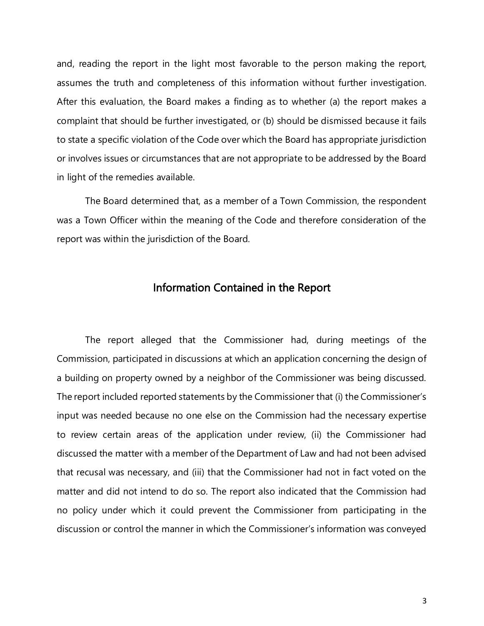and, reading the report in the light most favorable to the person making the report, assumes the truth and completeness of this information without further investigation. After this evaluation, the Board makes a finding as to whether (a) the report makes a complaint that should be further investigated, or (b) should be dismissed because it fails to state a specific violation of the Code over which the Board has appropriate jurisdiction or involves issues or circumstances that are not appropriate to be addressed by the Board in light of the remedies available.

The Board determined that, as a member of a Town Commission, the respondent was a Town Officer within the meaning of the Code and therefore consideration of the report was within the jurisdiction of the Board.

## Information Contained in the Report

The report alleged that the Commissioner had, during meetings of the Commission, participated in discussions at which an application concerning the design of a building on property owned by a neighbor of the Commissioner was being discussed. The report included reported statements by the Commissioner that (i) the Commissioner's input was needed because no one else on the Commission had the necessary expertise to review certain areas of the application under review, (ii) the Commissioner had discussed the matter with a member of the Department of Law and had not been advised that recusal was necessary, and (iii) that the Commissioner had not in fact voted on the matter and did not intend to do so. The report also indicated that the Commission had no policy under which it could prevent the Commissioner from participating in the discussion or control the manner in which the Commissioner's information was conveyed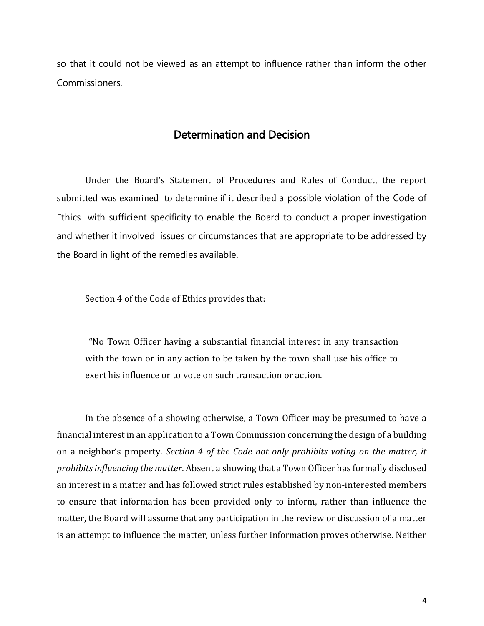so that it could not be viewed as an attempt to influence rather than inform the other Commissioners.

## Determination and Decision

Under the Board's Statement of Procedures and Rules of Conduct, the report submitted was examined to determine if it described a possible violation of the Code of Ethics with sufficient specificity to enable the Board to conduct a proper investigation and whether it involved issues or circumstances that are appropriate to be addressed by the Board in light of the remedies available.

Section 4 of the Code of Ethics provides that:

"No Town Officer having a substantial financial interest in any transaction with the town or in any action to be taken by the town shall use his office to exert his influence or to vote on such transaction or action.

In the absence of a showing otherwise, a Town Officer may be presumed to have a financial interest in an application to a Town Commission concerning the design of a building on a neighbor's property. *Section 4 of the Code not only prohibits voting on the matter, it prohibits influencing the matter*. Absent a showing that a Town Officer has formally disclosed an interest in a matter and has followed strict rules established by non-interested members to ensure that information has been provided only to inform, rather than influence the matter, the Board will assume that any participation in the review or discussion of a matter is an attempt to influence the matter, unless further information proves otherwise. Neither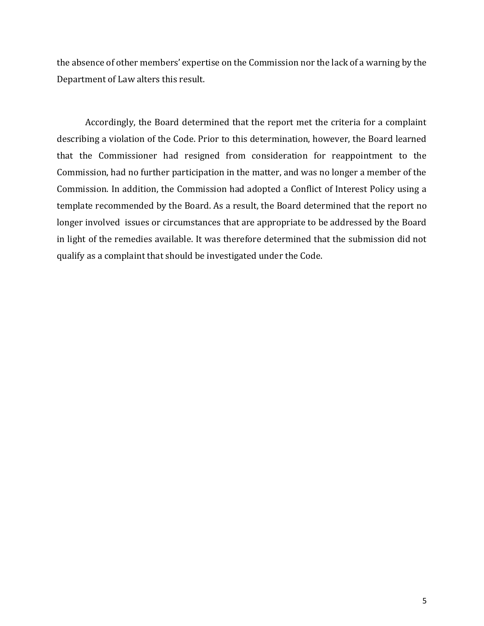the absence of other members' expertise on the Commission nor the lack of a warning by the Department of Law alters this result.

Accordingly, the Board determined that the report met the criteria for a complaint describing a violation of the Code. Prior to this determination, however, the Board learned that the Commissioner had resigned from consideration for reappointment to the Commission, had no further participation in the matter, and was no longer a member of the Commission. In addition, the Commission had adopted a Conflict of Interest Policy using a template recommended by the Board. As a result, the Board determined that the report no longer involved issues or circumstances that are appropriate to be addressed by the Board in light of the remedies available. It was therefore determined that the submission did not qualify as a complaint that should be investigated under the Code.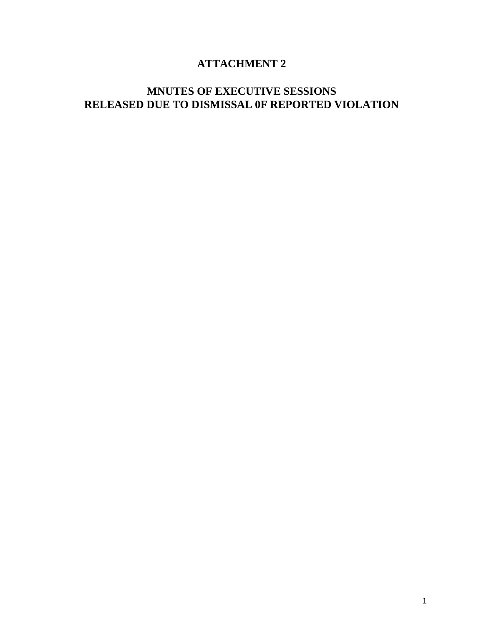# **ATTACHMENT 2**

# **MNUTES OF EXECUTIVE SESSIONS RELEASED DUE TO DISMISSAL 0F REPORTED VIOLATION**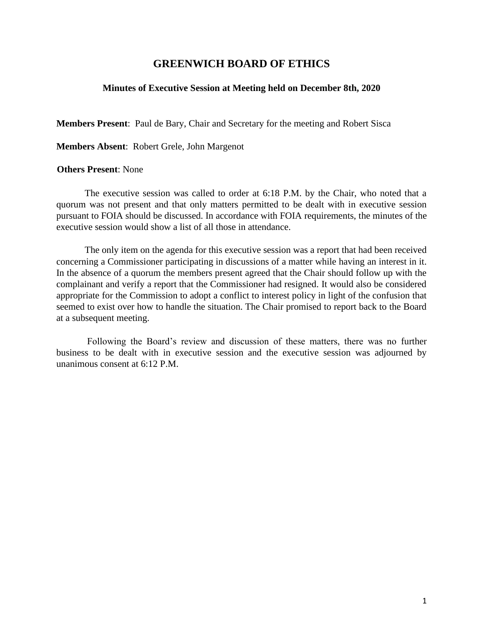#### **Minutes of Executive Session at Meeting held on December 8th, 2020**

**Members Present**: Paul de Bary, Chair and Secretary for the meeting and Robert Sisca

**Members Absent**: Robert Grele, John Margenot

#### **Others Present**: None

The executive session was called to order at 6:18 P.M. by the Chair, who noted that a quorum was not present and that only matters permitted to be dealt with in executive session pursuant to FOIA should be discussed. In accordance with FOIA requirements, the minutes of the executive session would show a list of all those in attendance.

The only item on the agenda for this executive session was a report that had been received concerning a Commissioner participating in discussions of a matter while having an interest in it. In the absence of a quorum the members present agreed that the Chair should follow up with the complainant and verify a report that the Commissioner had resigned. It would also be considered appropriate for the Commission to adopt a conflict to interest policy in light of the confusion that seemed to exist over how to handle the situation. The Chair promised to report back to the Board at a subsequent meeting.

Following the Board's review and discussion of these matters, there was no further business to be dealt with in executive session and the executive session was adjourned by unanimous consent at 6:12 P.M.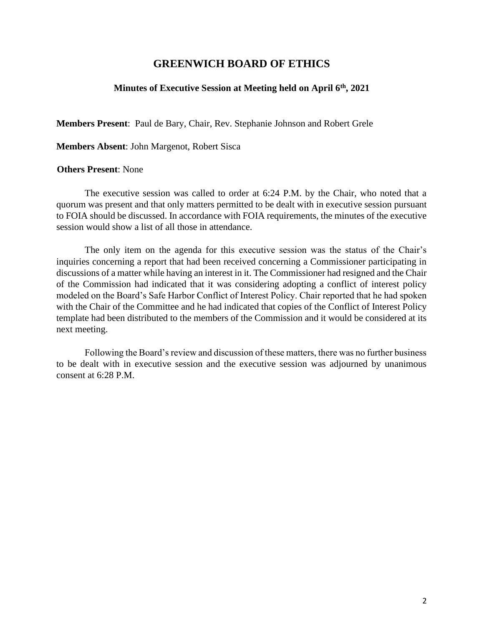#### **Minutes of Executive Session at Meeting held on April 6th, 2021**

**Members Present**: Paul de Bary, Chair, Rev. Stephanie Johnson and Robert Grele

**Members Absent**: John Margenot, Robert Sisca

#### **Others Present**: None

The executive session was called to order at 6:24 P.M. by the Chair, who noted that a quorum was present and that only matters permitted to be dealt with in executive session pursuant to FOIA should be discussed. In accordance with FOIA requirements, the minutes of the executive session would show a list of all those in attendance.

The only item on the agenda for this executive session was the status of the Chair's inquiries concerning a report that had been received concerning a Commissioner participating in discussions of a matter while having an interest in it. The Commissioner had resigned and the Chair of the Commission had indicated that it was considering adopting a conflict of interest policy modeled on the Board's Safe Harbor Conflict of Interest Policy. Chair reported that he had spoken with the Chair of the Committee and he had indicated that copies of the Conflict of Interest Policy template had been distributed to the members of the Commission and it would be considered at its next meeting.

Following the Board's review and discussion of these matters, there was no further business to be dealt with in executive session and the executive session was adjourned by unanimous consent at 6:28 P.M.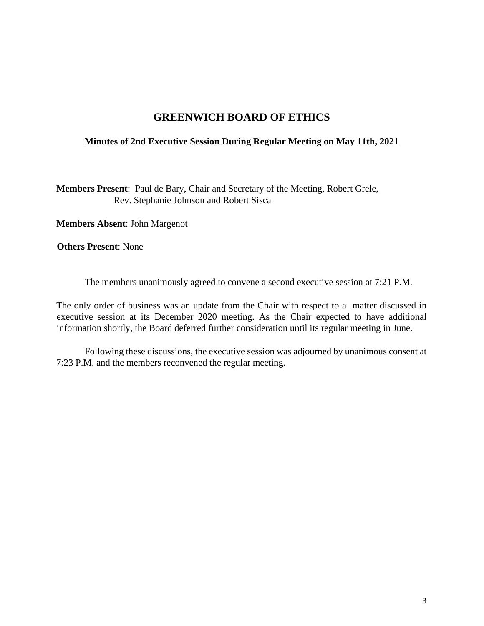#### **Minutes of 2nd Executive Session During Regular Meeting on May 11th, 2021**

**Members Present**: Paul de Bary, Chair and Secretary of the Meeting, Robert Grele, Rev. Stephanie Johnson and Robert Sisca

**Members Absent**: John Margenot

**Others Present**: None

The members unanimously agreed to convene a second executive session at 7:21 P.M.

The only order of business was an update from the Chair with respect to a matter discussed in executive session at its December 2020 meeting. As the Chair expected to have additional information shortly, the Board deferred further consideration until its regular meeting in June.

Following these discussions, the executive session was adjourned by unanimous consent at 7:23 P.M. and the members reconvened the regular meeting.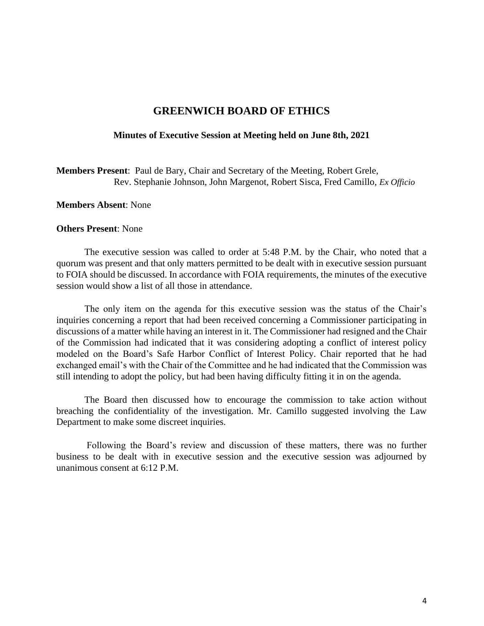#### **Minutes of Executive Session at Meeting held on June 8th, 2021**

**Members Present**: Paul de Bary, Chair and Secretary of the Meeting, Robert Grele, Rev. Stephanie Johnson, John Margenot, Robert Sisca, Fred Camillo, *Ex Officio*

#### **Members Absent**: None

#### **Others Present**: None

The executive session was called to order at 5:48 P.M. by the Chair, who noted that a quorum was present and that only matters permitted to be dealt with in executive session pursuant to FOIA should be discussed. In accordance with FOIA requirements, the minutes of the executive session would show a list of all those in attendance.

The only item on the agenda for this executive session was the status of the Chair's inquiries concerning a report that had been received concerning a Commissioner participating in discussions of a matter while having an interest in it. The Commissioner had resigned and the Chair of the Commission had indicated that it was considering adopting a conflict of interest policy modeled on the Board's Safe Harbor Conflict of Interest Policy. Chair reported that he had exchanged email's with the Chair of the Committee and he had indicated that the Commission was still intending to adopt the policy, but had been having difficulty fitting it in on the agenda.

The Board then discussed how to encourage the commission to take action without breaching the confidentiality of the investigation. Mr. Camillo suggested involving the Law Department to make some discreet inquiries.

Following the Board's review and discussion of these matters, there was no further business to be dealt with in executive session and the executive session was adjourned by unanimous consent at 6:12 P.M.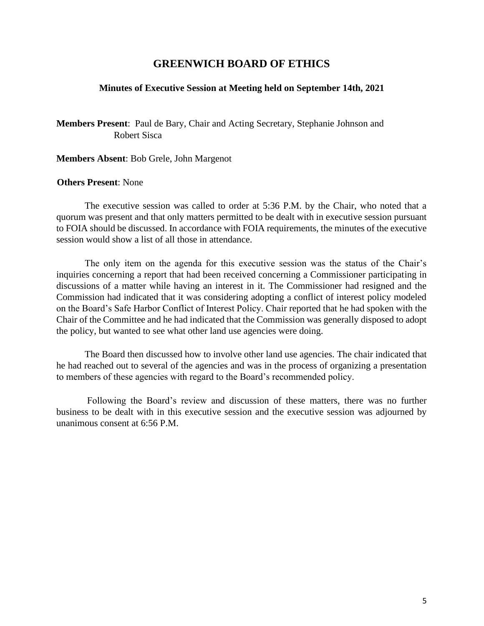#### **Minutes of Executive Session at Meeting held on September 14th, 2021**

**Members Present**: Paul de Bary, Chair and Acting Secretary, Stephanie Johnson and Robert Sisca

**Members Absent**: Bob Grele, John Margenot

#### **Others Present**: None

The executive session was called to order at 5:36 P.M. by the Chair, who noted that a quorum was present and that only matters permitted to be dealt with in executive session pursuant to FOIA should be discussed. In accordance with FOIA requirements, the minutes of the executive session would show a list of all those in attendance.

The only item on the agenda for this executive session was the status of the Chair's inquiries concerning a report that had been received concerning a Commissioner participating in discussions of a matter while having an interest in it. The Commissioner had resigned and the Commission had indicated that it was considering adopting a conflict of interest policy modeled on the Board's Safe Harbor Conflict of Interest Policy. Chair reported that he had spoken with the Chair of the Committee and he had indicated that the Commission was generally disposed to adopt the policy, but wanted to see what other land use agencies were doing.

The Board then discussed how to involve other land use agencies. The chair indicated that he had reached out to several of the agencies and was in the process of organizing a presentation to members of these agencies with regard to the Board's recommended policy.

Following the Board's review and discussion of these matters, there was no further business to be dealt with in this executive session and the executive session was adjourned by unanimous consent at 6:56 P.M.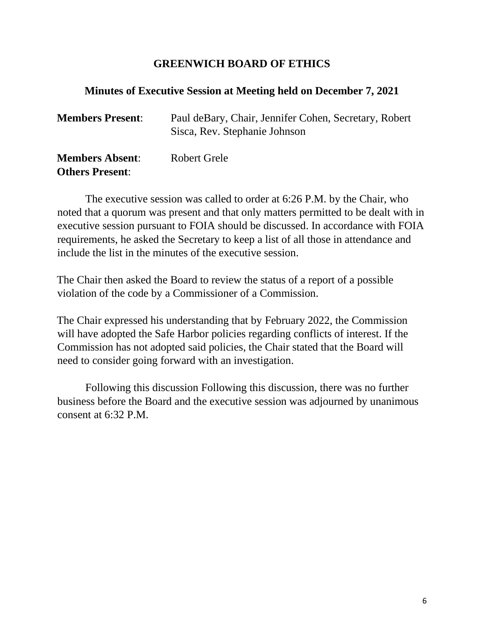## **Minutes of Executive Session at Meeting held on December 7, 2021**

| <b>Members Present:</b>                          | Paul deBary, Chair, Jennifer Cohen, Secretary, Robert<br>Sisca, Rev. Stephanie Johnson |
|--------------------------------------------------|----------------------------------------------------------------------------------------|
| <b>Members Absent:</b><br><b>Others Present:</b> | Robert Grele                                                                           |

The executive session was called to order at 6:26 P.M. by the Chair, who noted that a quorum was present and that only matters permitted to be dealt with in executive session pursuant to FOIA should be discussed. In accordance with FOIA requirements, he asked the Secretary to keep a list of all those in attendance and include the list in the minutes of the executive session.

The Chair then asked the Board to review the status of a report of a possible violation of the code by a Commissioner of a Commission.

The Chair expressed his understanding that by February 2022, the Commission will have adopted the Safe Harbor policies regarding conflicts of interest. If the Commission has not adopted said policies, the Chair stated that the Board will need to consider going forward with an investigation.

Following this discussion Following this discussion, there was no further business before the Board and the executive session was adjourned by unanimous consent at 6:32 P.M.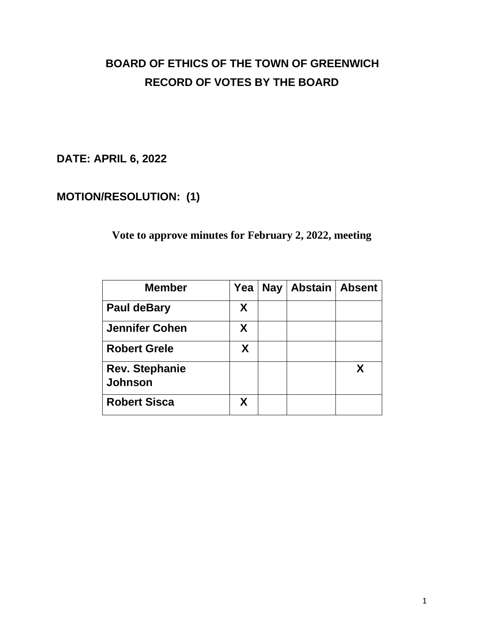**DATE: APRIL 6, 2022**

# **MOTION/RESOLUTION: (1)**

**Vote to approve minutes for February 2, 2022, meeting**

| <b>Member</b>                           | Yea | <b>Nay</b> | Abstain   Absent |   |
|-----------------------------------------|-----|------------|------------------|---|
| <b>Paul deBary</b>                      | X   |            |                  |   |
| <b>Jennifer Cohen</b>                   | X   |            |                  |   |
| <b>Robert Grele</b>                     | X   |            |                  |   |
| <b>Rev. Stephanie</b><br><b>Johnson</b> |     |            |                  | X |
| <b>Robert Sisca</b>                     | Χ   |            |                  |   |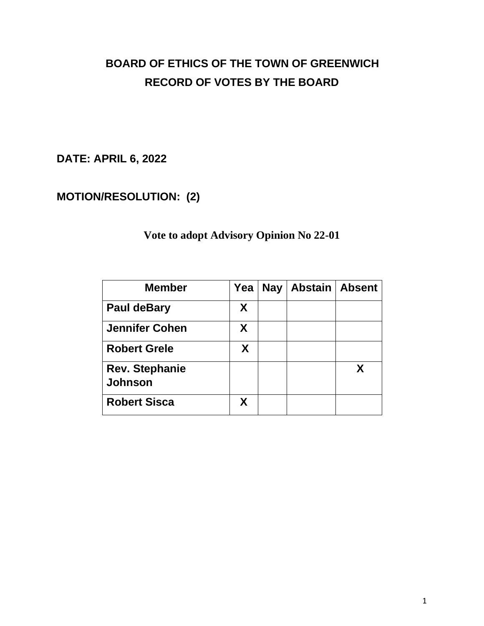**DATE: APRIL 6, 2022**

# **MOTION/RESOLUTION: (2)**

# **Vote to adopt Advisory Opinion No 22-01**

| <b>Member</b>                           | Yea | <b>Nay</b> | Abstain   Absent |   |
|-----------------------------------------|-----|------------|------------------|---|
| <b>Paul deBary</b>                      | X   |            |                  |   |
| <b>Jennifer Cohen</b>                   | X   |            |                  |   |
| <b>Robert Grele</b>                     | X   |            |                  |   |
| <b>Rev. Stephanie</b><br><b>Johnson</b> |     |            |                  | X |
| <b>Robert Sisca</b>                     | Χ   |            |                  |   |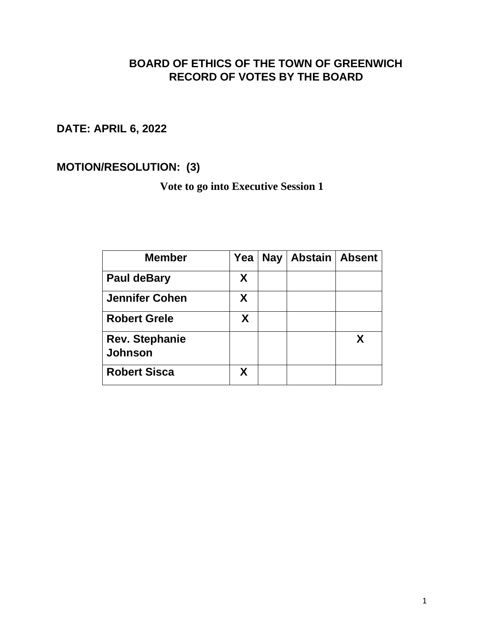**DATE: APRIL 6, 2022** 

**MOTION/RESOLUTION: (3)** 

**Vote to go into Executive Session 1**

| <b>Member</b>                    | Yea | <b>Nay</b> | <b>Abstain   Absent</b> |  |
|----------------------------------|-----|------------|-------------------------|--|
| <b>Paul deBary</b>               | X   |            |                         |  |
| <b>Jennifer Cohen</b>            | X   |            |                         |  |
| <b>Robert Grele</b>              | X   |            |                         |  |
| <b>Rev. Stephanie</b><br>Johnson |     |            |                         |  |
| <b>Robert Sisca</b>              | X   |            |                         |  |